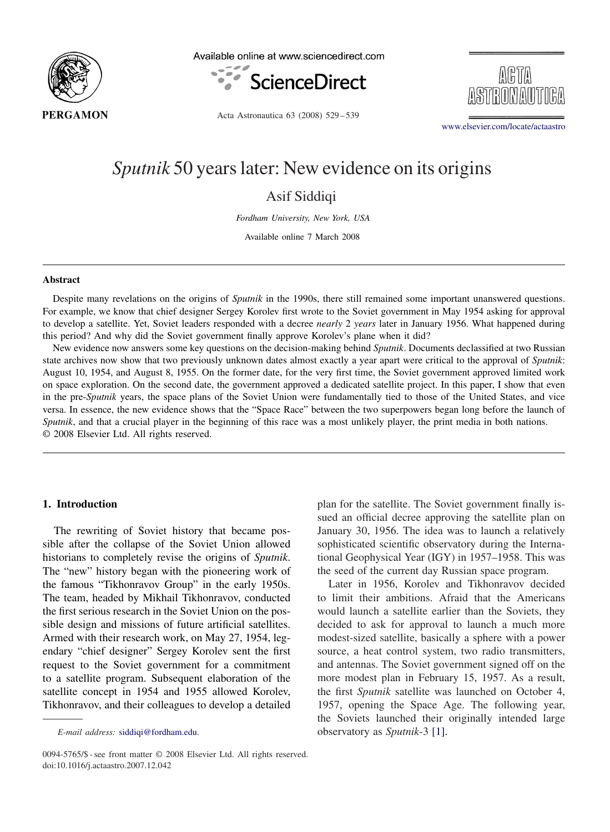

Available online at www.sciencedirect.com





Acta Astronautica 63 (2008) 529 – 539

[www.elsevier.com/locate/actaastro](http://www.elsevier.com/locate/actaastro)

# *Sputnik* 50 years later: New evidence on its origins

Asif Siddiqi

*Fordham University, New York, USA*

Available online 7 March 2008

#### **Abstract**

Despite many revelations on the origins of *Sputnik* in the 1990s, there still remained some important unanswered questions. For example, we know that chief designer Sergey Korolev first wrote to the Soviet government in May 1954 asking for approval to develop a satellite. Yet, Soviet leaders responded with a decree *nearly* 2 *years* later in January 1956. What happened during this period? And why did the Soviet government finally approve Korolev's plane when it did?

New evidence now answers some key questions on the decision-making behind *Sputnik*. Documents declassified at two Russian state archives now show that two previously unknown dates almost exactly a year apart were critical to the approval of *Sputnik*: August 10, 1954, and August 8, 1955. On the former date, for the very first time, the Soviet government approved limited work on space exploration. On the second date, the government approved a dedicated satellite project. In this paper, I show that even in the pre-*Sputnik* years, the space plans of the Soviet Union were fundamentally tied to those of the United States, and vice versa. In essence, the new evidence shows that the "Space Race" between the two superpowers began long before the launch of *Sputnik*, and that a crucial player in the beginning of this race was a most unlikely player, the print media in both nations. © 2008 Elsevier Ltd. All rights reserved.

### **1. Introduction**

The rewriting of Soviet history that became possible after the collapse of the Soviet Union allowed historians to completely revise the origins of *Sputnik*. The "new" history began with the pioneering work of the famous "Tikhonravov Group" in the early 1950s. The team, headed by Mikhail Tikhonravov, conducted the first serious research in the Soviet Union on the possible design and missions of future artificial satellites. Armed with their research work, on May 27, 1954, legendary "chief designer" Sergey Korolev sent the first request to the Soviet government for a commitment to a satellite program. Subsequent elaboration of the satellite concept in 1954 and 1955 allowed Korolev, Tikhonravov, and their colleagues to develop a detailed plan for the satellite. The Soviet government finally issued an official decree approving the satellite plan on January 30, 1956. The idea was to launch a relatively sophisticated scientific observatory during the International Geophysical Year (IGY) in 1957–1958. This was the seed of the current day Russian space program.

Later in 1956, Korolev and Tikhonravov decided to limit their ambitions. Afraid that the Americans would launch a satellite earlier than the Soviets, they decided to ask for approval to launch a much more modest-sized satellite, basically a sphere with a power source, a heat control system, two radio transmitters, and antennas. The Soviet government signed off on the more modest plan in February 15, 1957. As a result, the first *Sputnik* satellite was launched on October 4, 1957, opening the Space Age. The following year, the Soviets launched their originally intended large observatory as *Sputnik*-3 [\[1\].](#page-8-0)

*E-mail address:* [siddiqi@fordham.edu.](mailto:siddiqi@fordham.edu)

<sup>0094-5765/\$ -</sup> see front matter © 2008 Elsevier Ltd. All rights reserved. doi:10.1016/j.actaastro.2007.12.042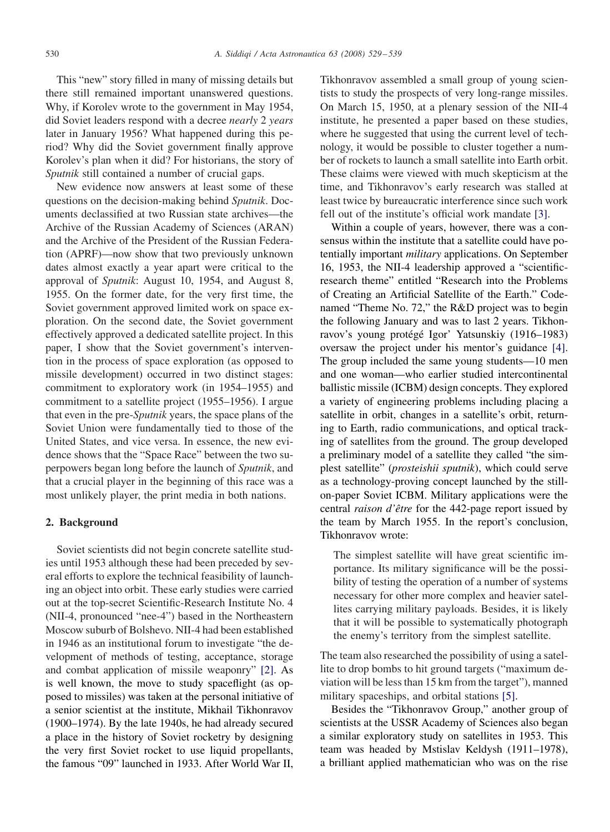This "new" story filled in many of missing details but there still remained important unanswered questions. Why, if Korolev wrote to the government in May 1954, did Soviet leaders respond with a decree *nearly* 2 *years* later in January 1956? What happened during this period? Why did the Soviet government finally approve Korolev's plan when it did? For historians, the story of *Sputnik* still contained a number of crucial gaps.

New evidence now answers at least some of these questions on the decision-making behind *Sputnik*. Documents declassified at two Russian state archives—the Archive of the Russian Academy of Sciences (ARAN) and the Archive of the President of the Russian Federation (APRF)—now show that two previously unknown dates almost exactly a year apart were critical to the approval of *Sputnik*: August 10, 1954, and August 8, 1955. On the former date, for the very first time, the Soviet government approved limited work on space exploration. On the second date, the Soviet government effectively approved a dedicated satellite project. In this paper, I show that the Soviet government's intervention in the process of space exploration (as opposed to missile development) occurred in two distinct stages: commitment to exploratory work (in 1954–1955) and commitment to a satellite project (1955–1956). I argue that even in the pre-*Sputnik* years, the space plans of the Soviet Union were fundamentally tied to those of the United States, and vice versa. In essence, the new evidence shows that the "Space Race" between the two superpowers began long before the launch of *Sputnik*, and that a crucial player in the beginning of this race was a most unlikely player, the print media in both nations.

# **2. Background**

Soviet scientists did not begin concrete satellite studies until 1953 although these had been preceded by several efforts to explore the technical feasibility of launching an object into orbit. These early studies were carried out at the top-secret Scientific-Research Institute No. 4 (NII-4, pronounced "nee-4") based in the Northeastern Moscow suburb of Bolshevo. NII-4 had been established in 1946 as an institutional forum to investigate "the development of methods of testing, acceptance, storage and combat application of missile weaponry" [\[2\].](#page-8-0) As is well known, the move to study spaceflight (as opposed to missiles) was taken at the personal initiative of a senior scientist at the institute, Mikhail Tikhonravov (1900–1974). By the late 1940s, he had already secured a place in the history of Soviet rocketry by designing the very first Soviet rocket to use liquid propellants, the famous "09" launched in 1933. After World War II,

Tikhonravov assembled a small group of young scientists to study the prospects of very long-range missiles. On March 15, 1950, at a plenary session of the NII-4 institute, he presented a paper based on these studies, where he suggested that using the current level of technology, it would be possible to cluster together a number of rockets to launch a small satellite into Earth orbit. These claims were viewed with much skepticism at the time, and Tikhonravov's early research was stalled at least twice by bureaucratic interference since such work fell out of the institute's official work mandate [\[3\].](#page-9-0)

Within a couple of years, however, there was a consensus within the institute that a satellite could have potentially important *military* applications. On September 16, 1953, the NII-4 leadership approved a "scientificresearch theme" entitled "Research into the Problems of Creating an Artificial Satellite of the Earth." Codenamed "Theme No. 72," the R&D project was to begin the following January and was to last 2 years. Tikhonravov's young protégé Igor' Yatsunskiy (1916–1983) oversaw the project under his mentor's guidance [\[4\].](#page-9-0) The group included the same young students—10 men and one woman—who earlier studied intercontinental ballistic missile (ICBM) design concepts. They explored a variety of engineering problems including placing a satellite in orbit, changes in a satellite's orbit, returning to Earth, radio communications, and optical tracking of satellites from the ground. The group developed a preliminary model of a satellite they called "the simplest satellite" (*prosteishii sputnik*), which could serve as a technology-proving concept launched by the stillon-paper Soviet ICBM. Military applications were the central *raison d'être* for the 442-page report issued by the team by March 1955. In the report's conclusion, Tikhonravov wrote:

The simplest satellite will have great scientific importance. Its military significance will be the possibility of testing the operation of a number of systems necessary for other more complex and heavier satellites carrying military payloads. Besides, it is likely that it will be possible to systematically photograph the enemy's territory from the simplest satellite.

The team also researched the possibility of using a satellite to drop bombs to hit ground targets ("maximum deviation will be less than 15 km from the target"), manned military spaceships, and orbital stations [\[5\].](#page-9-0)

Besides the "Tikhonravov Group," another group of scientists at the USSR Academy of Sciences also began a similar exploratory study on satellites in 1953. This team was headed by Mstislav Keldysh (1911–1978), a brilliant applied mathematician who was on the rise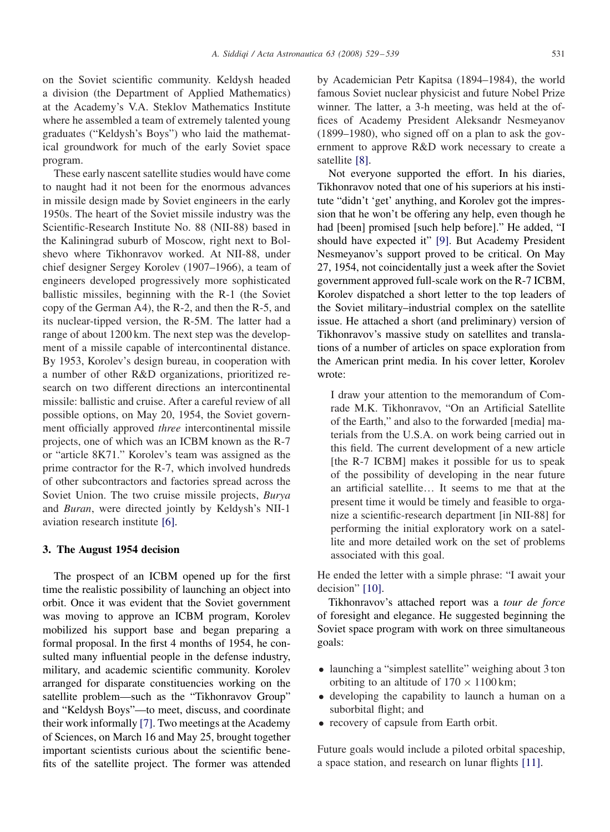on the Soviet scientific community. Keldysh headed a division (the Department of Applied Mathematics) at the Academy's V.A. Steklov Mathematics Institute where he assembled a team of extremely talented young graduates ("Keldysh's Boys") who laid the mathematical groundwork for much of the early Soviet space program.

These early nascent satellite studies would have come to naught had it not been for the enormous advances in missile design made by Soviet engineers in the early 1950s. The heart of the Soviet missile industry was the Scientific-Research Institute No. 88 (NII-88) based in the Kaliningrad suburb of Moscow, right next to Bolshevo where Tikhonravov worked. At NII-88, under chief designer Sergey Korolev (1907–1966), a team of engineers developed progressively more sophisticated ballistic missiles, beginning with the R-1 (the Soviet copy of the German A4), the R-2, and then the R-5, and its nuclear-tipped version, the R-5M. The latter had a range of about 1200 km. The next step was the development of a missile capable of intercontinental distance. By 1953, Korolev's design bureau, in cooperation with a number of other R&D organizations, prioritized research on two different directions an intercontinental missile: ballistic and cruise. After a careful review of all possible options, on May 20, 1954, the Soviet government officially approved *three* intercontinental missile projects, one of which was an ICBM known as the R-7 or "article 8K71." Korolev's team was assigned as the prime contractor for the R-7, which involved hundreds of other subcontractors and factories spread across the Soviet Union. The two cruise missile projects, *Burya* and *Buran*, were directed jointly by Keldysh's NII-1 aviation research institute [\[6\].](#page-9-0)

## **3. The August 1954 decision**

The prospect of an ICBM opened up for the first time the realistic possibility of launching an object into orbit. Once it was evident that the Soviet government was moving to approve an ICBM program, Korolev mobilized his support base and began preparing a formal proposal. In the first 4 months of 1954, he consulted many influential people in the defense industry, military, and academic scientific community. Korolev arranged for disparate constituencies working on the satellite problem—such as the "Tikhonravov Group" and "Keldysh Boys"—to meet, discuss, and coordinate their work informally [\[7\].](#page-9-0) Two meetings at the Academy of Sciences, on March 16 and May 25, brought together important scientists curious about the scientific benefits of the satellite project. The former was attended by Academician Petr Kapitsa (1894–1984), the world famous Soviet nuclear physicist and future Nobel Prize winner. The latter, a 3-h meeting, was held at the offices of Academy President Aleksandr Nesmeyanov (1899–1980), who signed off on a plan to ask the government to approve R&D work necessary to create a satellite [\[8\].](#page-9-0)

Not everyone supported the effort. In his diaries, Tikhonravov noted that one of his superiors at his institute "didn't 'get' anything, and Korolev got the impression that he won't be offering any help, even though he had [been] promised [such help before]." He added, "I should have expected it" [\[9\].](#page-9-0) But Academy President Nesmeyanov's support proved to be critical. On May 27, 1954, not coincidentally just a week after the Soviet government approved full-scale work on the R-7 ICBM, Korolev dispatched a short letter to the top leaders of the Soviet military–industrial complex on the satellite issue. He attached a short (and preliminary) version of Tikhonravov's massive study on satellites and translations of a number of articles on space exploration from the American print media. In his cover letter, Korolev wrote:

I draw your attention to the memorandum of Comrade M.K. Tikhonravov, "On an Artificial Satellite of the Earth," and also to the forwarded [media] materials from the U.S.A. on work being carried out in this field. The current development of a new article [the R-7 ICBM] makes it possible for us to speak of the possibility of developing in the near future an artificial satellite… It seems to me that at the present time it would be timely and feasible to organize a scientific-research department [in NII-88] for performing the initial exploratory work on a satellite and more detailed work on the set of problems associated with this goal.

He ended the letter with a simple phrase: "I await your decision" [\[10\].](#page-9-0)

Tikhonravov's attached report was a *tour de force* of foresight and elegance. He suggested beginning the Soviet space program with work on three simultaneous goals:

- launching a "simplest satellite" weighing about 3 ton orbiting to an altitude of  $170 \times 1100$  km;
- developing the capability to launch a human on a suborbital flight; and
- recovery of capsule from Earth orbit.

Future goals would include a piloted orbital spaceship, a space station, and research on lunar flights [\[11\].](#page-9-0)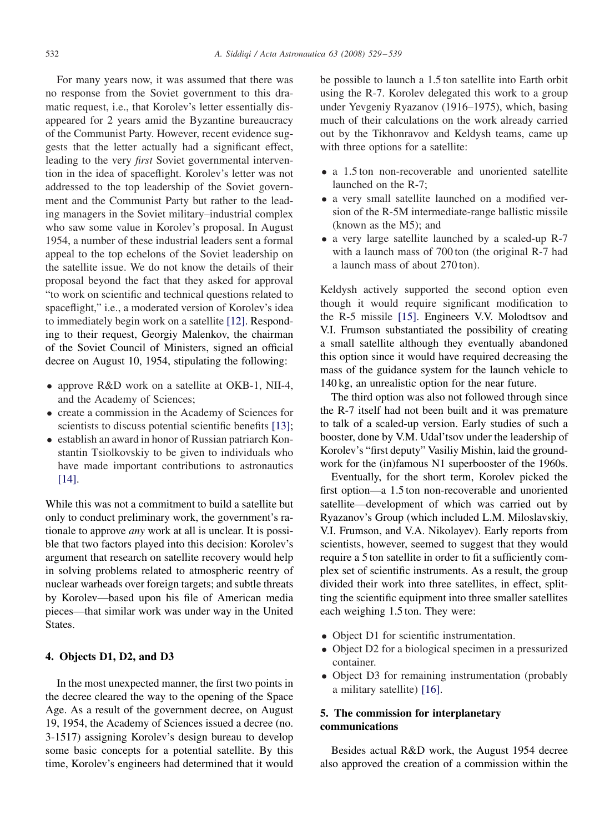For many years now, it was assumed that there was no response from the Soviet government to this dramatic request, i.e., that Korolev's letter essentially disappeared for 2 years amid the Byzantine bureaucracy of the Communist Party. However, recent evidence suggests that the letter actually had a significant effect, leading to the very *first* Soviet governmental intervention in the idea of spaceflight. Korolev's letter was not addressed to the top leadership of the Soviet government and the Communist Party but rather to the leading managers in the Soviet military–industrial complex who saw some value in Korolev's proposal. In August 1954, a number of these industrial leaders sent a formal appeal to the top echelons of the Soviet leadership on the satellite issue. We do not know the details of their proposal beyond the fact that they asked for approval "to work on scientific and technical questions related to spaceflight," i.e., a moderated version of Korolev's idea to immediately begin work on a satellite [\[12\].](#page-9-0) Responding to their request, Georgiy Malenkov, the chairman of the Soviet Council of Ministers, signed an official decree on August 10, 1954, stipulating the following:

- approve R&D work on a satellite at OKB-1, NII-4, and the Academy of Sciences;
- create a commission in the Academy of Sciences for scientists to discuss potential scientific benefits [\[13\];](#page-9-0)
- establish an award in honor of Russian patriarch Konstantin Tsiolkovskiy to be given to individuals who have made important contributions to astronautics [\[14\].](#page-9-0)

While this was not a commitment to build a satellite but only to conduct preliminary work, the government's rationale to approve *any* work at all is unclear. It is possible that two factors played into this decision: Korolev's argument that research on satellite recovery would help in solving problems related to atmospheric reentry of nuclear warheads over foreign targets; and subtle threats by Korolev—based upon his file of American media pieces—that similar work was under way in the United States.

# **4. Objects D1, D2, and D3**

In the most unexpected manner, the first two points in the decree cleared the way to the opening of the Space Age. As a result of the government decree, on August 19, 1954, the Academy of Sciences issued a decree (no. 3-1517) assigning Korolev's design bureau to develop some basic concepts for a potential satellite. By this time, Korolev's engineers had determined that it would be possible to launch a 1.5 ton satellite into Earth orbit using the R-7. Korolev delegated this work to a group under Yevgeniy Ryazanov (1916–1975), which, basing much of their calculations on the work already carried out by the Tikhonravov and Keldysh teams, came up with three options for a satellite:

- a 1.5 ton non-recoverable and unoriented satellite launched on the R-7;
- a very small satellite launched on a modified version of the R-5M intermediate-range ballistic missile (known as the M5); and
- a very large satellite launched by a scaled-up R-7 with a launch mass of 700 ton (the original R-7 had a launch mass of about 270 ton).

Keldysh actively supported the second option even though it would require significant modification to the R-5 missile [\[15\].](#page-9-0) Engineers V.V. Molodtsov and V.I. Frumson substantiated the possibility of creating a small satellite although they eventually abandoned this option since it would have required decreasing the mass of the guidance system for the launch vehicle to 140 kg, an unrealistic option for the near future.

The third option was also not followed through since the R-7 itself had not been built and it was premature to talk of a scaled-up version. Early studies of such a booster, done by V.M. Udal'tsov under the leadership of Korolev's "first deputy" Vasiliy Mishin, laid the groundwork for the (in)famous N1 superbooster of the 1960s.

Eventually, for the short term, Korolev picked the first option—a 1.5 ton non-recoverable and unoriented satellite—development of which was carried out by Ryazanov's Group (which included L.M. Miloslavskiy, V.I. Frumson, and V.A. Nikolayev). Early reports from scientists, however, seemed to suggest that they would require a 5 ton satellite in order to fit a sufficiently complex set of scientific instruments. As a result, the group divided their work into three satellites, in effect, splitting the scientific equipment into three smaller satellites each weighing 1.5 ton. They were:

- Object D1 for scientific instrumentation.
- Object D2 for a biological specimen in a pressurized container.
- Object D3 for remaining instrumentation (probably a military satellite) [\[16\].](#page-9-0)

# **5. The commission for interplanetary communications**

Besides actual R&D work, the August 1954 decree also approved the creation of a commission within the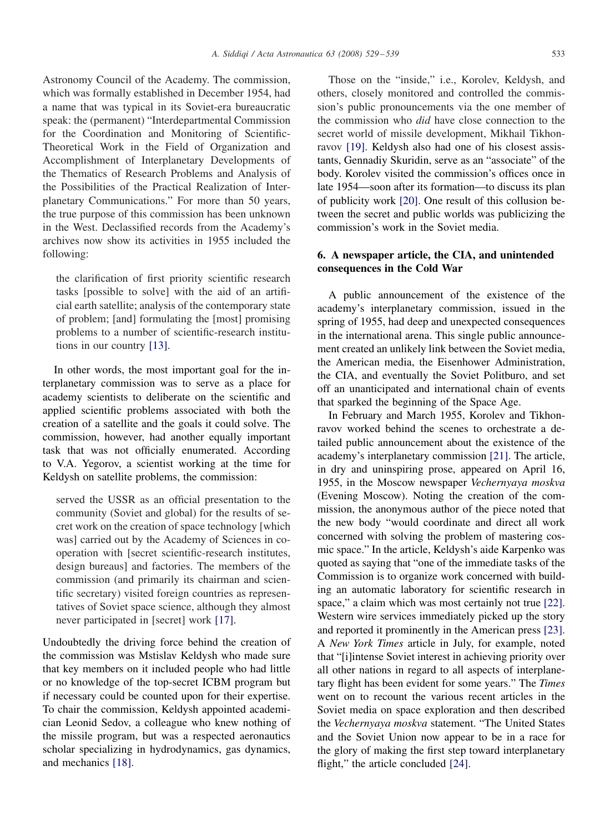Astronomy Council of the Academy. The commission, which was formally established in December 1954, had a name that was typical in its Soviet-era bureaucratic speak: the (permanent) "Interdepartmental Commission for the Coordination and Monitoring of Scientific-Theoretical Work in the Field of Organization and Accomplishment of Interplanetary Developments of the Thematics of Research Problems and Analysis of the Possibilities of the Practical Realization of Interplanetary Communications." For more than 50 years, the true purpose of this commission has been unknown in the West. Declassified records from the Academy's archives now show its activities in 1955 included the following:

the clarification of first priority scientific research tasks [possible to solve] with the aid of an artificial earth satellite; analysis of the contemporary state of problem; [and] formulating the [most] promising problems to a number of scientific-research institutions in our country [\[13\].](#page-9-0)

In other words, the most important goal for the interplanetary commission was to serve as a place for academy scientists to deliberate on the scientific and applied scientific problems associated with both the creation of a satellite and the goals it could solve. The commission, however, had another equally important task that was not officially enumerated. According to V.A. Yegorov, a scientist working at the time for Keldysh on satellite problems, the commission:

served the USSR as an official presentation to the community (Soviet and global) for the results of secret work on the creation of space technology [which was] carried out by the Academy of Sciences in cooperation with [secret scientific-research institutes, design bureaus] and factories. The members of the commission (and primarily its chairman and scientific secretary) visited foreign countries as representatives of Soviet space science, although they almost never participated in [secret] work [\[17\].](#page-9-0)

Undoubtedly the driving force behind the creation of the commission was Mstislav Keldysh who made sure that key members on it included people who had little or no knowledge of the top-secret ICBM program but if necessary could be counted upon for their expertise. To chair the commission, Keldysh appointed academician Leonid Sedov, a colleague who knew nothing of the missile program, but was a respected aeronautics scholar specializing in hydrodynamics, gas dynamics, and mechanics [\[18\].](#page-9-0)

Those on the "inside," i.e., Korolev, Keldysh, and others, closely monitored and controlled the commission's public pronouncements via the one member of the commission who *did* have close connection to the secret world of missile development, Mikhail Tikhonravov [\[19\].](#page-9-0) Keldysh also had one of his closest assistants, Gennadiy Skuridin, serve as an "associate" of the body. Korolev visited the commission's offices once in late 1954—soon after its formation—to discuss its plan of publicity work [\[20\].](#page-9-0) One result of this collusion between the secret and public worlds was publicizing the commission's work in the Soviet media.

# **6. A newspaper article, the CIA, and unintended consequences in the Cold War**

A public announcement of the existence of the academy's interplanetary commission, issued in the spring of 1955, had deep and unexpected consequences in the international arena. This single public announcement created an unlikely link between the Soviet media, the American media, the Eisenhower Administration, the CIA, and eventually the Soviet Politburo, and set off an unanticipated and international chain of events that sparked the beginning of the Space Age.

In February and March 1955, Korolev and Tikhonravov worked behind the scenes to orchestrate a detailed public announcement about the existence of the academy's interplanetary commission [\[21\].](#page-9-0) The article, in dry and uninspiring prose, appeared on April 16, 1955, in the Moscow newspaper *Vechernyaya moskva* (Evening Moscow). Noting the creation of the commission, the anonymous author of the piece noted that the new body "would coordinate and direct all work concerned with solving the problem of mastering cosmic space." In the article, Keldysh's aide Karpenko was quoted as saying that "one of the immediate tasks of the Commission is to organize work concerned with building an automatic laboratory for scientific research in space," a claim which was most certainly not true [\[22\].](#page-9-0) Western wire services immediately picked up the story and reported it prominently in the American press [\[23\].](#page-9-0) A *New York Times* article in July, for example, noted that "[i]intense Soviet interest in achieving priority over all other nations in regard to all aspects of interplanetary flight has been evident for some years." The *Times* went on to recount the various recent articles in the Soviet media on space exploration and then described the *Vechernyaya moskva* statement. "The United States and the Soviet Union now appear to be in a race for the glory of making the first step toward interplanetary flight," the article concluded [\[24\].](#page-9-0)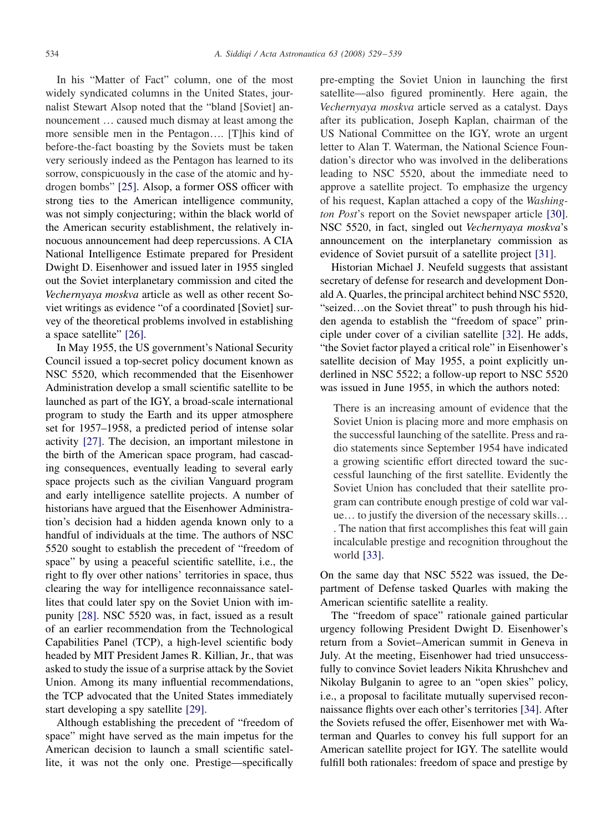In his "Matter of Fact" column, one of the most widely syndicated columns in the United States, journalist Stewart Alsop noted that the "bland [Soviet] announcement … caused much dismay at least among the more sensible men in the Pentagon…. [T]his kind of before-the-fact boasting by the Soviets must be taken very seriously indeed as the Pentagon has learned to its sorrow, conspicuously in the case of the atomic and hydrogen bombs" [\[25\].](#page-9-0) Alsop, a former OSS officer with strong ties to the American intelligence community, was not simply conjecturing; within the black world of the American security establishment, the relatively innocuous announcement had deep repercussions. A CIA National Intelligence Estimate prepared for President Dwight D. Eisenhower and issued later in 1955 singled out the Soviet interplanetary commission and cited the *Vechernyaya moskva* article as well as other recent Soviet writings as evidence "of a coordinated [Soviet] survey of the theoretical problems involved in establishing a space satellite" [\[26\].](#page-9-0)

In May 1955, the US government's National Security Council issued a top-secret policy document known as NSC 5520, which recommended that the Eisenhower Administration develop a small scientific satellite to be launched as part of the IGY, a broad-scale international program to study the Earth and its upper atmosphere set for 1957–1958, a predicted period of intense solar activity [\[27\].](#page-9-0) The decision, an important milestone in the birth of the American space program, had cascading consequences, eventually leading to several early space projects such as the civilian Vanguard program and early intelligence satellite projects. A number of historians have argued that the Eisenhower Administration's decision had a hidden agenda known only to a handful of individuals at the time. The authors of NSC 5520 sought to establish the precedent of "freedom of space" by using a peaceful scientific satellite, i.e., the right to fly over other nations' territories in space, thus clearing the way for intelligence reconnaissance satellites that could later spy on the Soviet Union with impunity [\[28\].](#page-9-0) NSC 5520 was, in fact, issued as a result of an earlier recommendation from the Technological Capabilities Panel (TCP), a high-level scientific body headed by MIT President James R. Killian, Jr., that was asked to study the issue of a surprise attack by the Soviet Union. Among its many influential recommendations, the TCP advocated that the United States immediately start developing a spy satellite [\[29\].](#page-9-0)

Although establishing the precedent of "freedom of space" might have served as the main impetus for the American decision to launch a small scientific satellite, it was not the only one. Prestige—specifically pre-empting the Soviet Union in launching the first satellite—also figured prominently. Here again, the *Vechernyaya moskva* article served as a catalyst. Days after its publication, Joseph Kaplan, chairman of the US National Committee on the IGY, wrote an urgent letter to Alan T. Waterman, the National Science Foundation's director who was involved in the deliberations leading to NSC 5520, about the immediate need to approve a satellite project. To emphasize the urgency of his request, Kaplan attached a copy of the *Washington Post*'s report on the Soviet newspaper article [\[30\].](#page-10-0) NSC 5520, in fact, singled out *Vechernyaya moskva*'s announcement on the interplanetary commission as evidence of Soviet pursuit of a satellite project [\[31\].](#page-10-0)

Historian Michael J. Neufeld suggests that assistant secretary of defense for research and development Donald A. Quarles, the principal architect behind NSC 5520, "seized…on the Soviet threat" to push through his hidden agenda to establish the "freedom of space" principle under cover of a civilian satellite [\[32\].](#page-10-0) He adds, "the Soviet factor played a critical role" in Eisenhower's satellite decision of May 1955, a point explicitly underlined in NSC 5522; a follow-up report to NSC 5520 was issued in June 1955, in which the authors noted:

There is an increasing amount of evidence that the Soviet Union is placing more and more emphasis on the successful launching of the satellite. Press and radio statements since September 1954 have indicated a growing scientific effort directed toward the successful launching of the first satellite. Evidently the Soviet Union has concluded that their satellite program can contribute enough prestige of cold war value… to justify the diversion of the necessary skills… . The nation that first accomplishes this feat will gain incalculable prestige and recognition throughout the world [\[33\].](#page-10-0)

On the same day that NSC 5522 was issued, the Department of Defense tasked Quarles with making the American scientific satellite a reality.

The "freedom of space" rationale gained particular urgency following President Dwight D. Eisenhower's return from a Soviet–American summit in Geneva in July. At the meeting, Eisenhower had tried unsuccessfully to convince Soviet leaders Nikita Khrushchev and Nikolay Bulganin to agree to an "open skies" policy, i.e., a proposal to facilitate mutually supervised reconnaissance flights over each other's territories [\[34\].](#page-10-0) After the Soviets refused the offer, Eisenhower met with Waterman and Quarles to convey his full support for an American satellite project for IGY. The satellite would fulfill both rationales: freedom of space and prestige by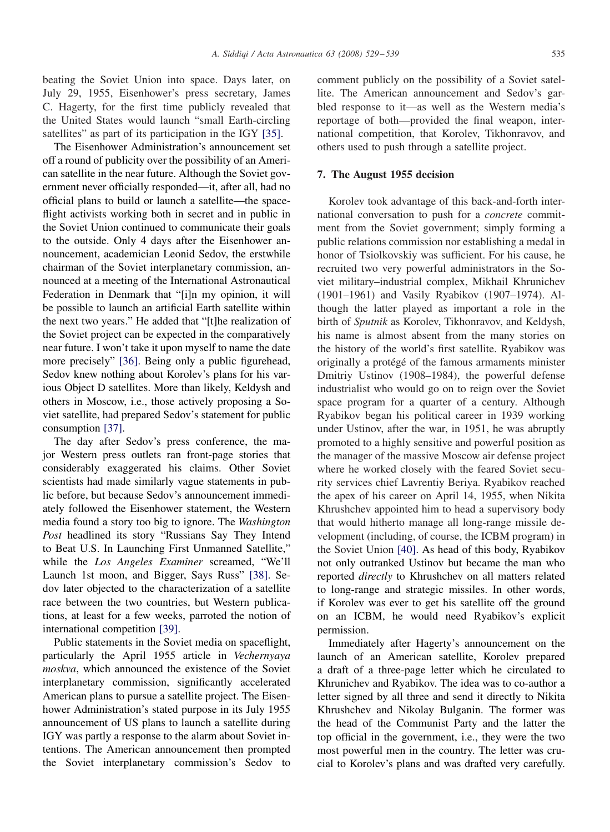beating the Soviet Union into space. Days later, on July 29, 1955, Eisenhower's press secretary, James C. Hagerty, for the first time publicly revealed that the United States would launch "small Earth-circling satellites" as part of its participation in the IGY [\[35\].](#page-10-0)

The Eisenhower Administration's announcement set off a round of publicity over the possibility of an American satellite in the near future. Although the Soviet government never officially responded—it, after all, had no official plans to build or launch a satellite—the spaceflight activists working both in secret and in public in the Soviet Union continued to communicate their goals to the outside. Only 4 days after the Eisenhower announcement, academician Leonid Sedov, the erstwhile chairman of the Soviet interplanetary commission, announced at a meeting of the International Astronautical Federation in Denmark that "[i]n my opinion, it will be possible to launch an artificial Earth satellite within the next two years." He added that "[t]he realization of the Soviet project can be expected in the comparatively near future. I won't take it upon myself to name the date more precisely" [\[36\].](#page-10-0) Being only a public figurehead, Sedov knew nothing about Korolev's plans for his various Object D satellites. More than likely, Keldysh and others in Moscow, i.e., those actively proposing a Soviet satellite, had prepared Sedov's statement for public consumption [\[37\].](#page-10-0)

The day after Sedov's press conference, the major Western press outlets ran front-page stories that considerably exaggerated his claims. Other Soviet scientists had made similarly vague statements in public before, but because Sedov's announcement immediately followed the Eisenhower statement, the Western media found a story too big to ignore. The *Washington Post* headlined its story "Russians Say They Intend to Beat U.S. In Launching First Unmanned Satellite," while the *Los Angeles Examiner* screamed, "We'll Launch 1st moon, and Bigger, Says Russ" [\[38\].](#page-10-0) Sedov later objected to the characterization of a satellite race between the two countries, but Western publications, at least for a few weeks, parroted the notion of international competition [\[39\].](#page-10-0)

Public statements in the Soviet media on spaceflight, particularly the April 1955 article in *Vechernyaya moskva*, which announced the existence of the Soviet interplanetary commission, significantly accelerated American plans to pursue a satellite project. The Eisenhower Administration's stated purpose in its July 1955 announcement of US plans to launch a satellite during IGY was partly a response to the alarm about Soviet intentions. The American announcement then prompted the Soviet interplanetary commission's Sedov to comment publicly on the possibility of a Soviet satellite. The American announcement and Sedov's garbled response to it—as well as the Western media's reportage of both—provided the final weapon, international competition, that Korolev, Tikhonravov, and others used to push through a satellite project.

### **7. The August 1955 decision**

Korolev took advantage of this back-and-forth international conversation to push for a *concrete* commitment from the Soviet government; simply forming a public relations commission nor establishing a medal in honor of Tsiolkovskiy was sufficient. For his cause, he recruited two very powerful administrators in the Soviet military–industrial complex, Mikhail Khrunichev (1901–1961) and Vasily Ryabikov (1907–1974). Although the latter played as important a role in the birth of *Sputnik* as Korolev, Tikhonravov, and Keldysh, his name is almost absent from the many stories on the history of the world's first satellite. Ryabikov was originally a protégé of the famous armaments minister Dmitriy Ustinov (1908–1984), the powerful defense industrialist who would go on to reign over the Soviet space program for a quarter of a century. Although Ryabikov began his political career in 1939 working under Ustinov, after the war, in 1951, he was abruptly promoted to a highly sensitive and powerful position as the manager of the massive Moscow air defense project where he worked closely with the feared Soviet security services chief Lavrentiy Beriya. Ryabikov reached the apex of his career on April 14, 1955, when Nikita Khrushchev appointed him to head a supervisory body that would hitherto manage all long-range missile development (including, of course, the ICBM program) in the Soviet Union [\[40\].](#page-10-0) As head of this body, Ryabikov not only outranked Ustinov but became the man who reported *directly* to Khrushchev on all matters related to long-range and strategic missiles. In other words, if Korolev was ever to get his satellite off the ground on an ICBM, he would need Ryabikov's explicit permission.

Immediately after Hagerty's announcement on the launch of an American satellite, Korolev prepared a draft of a three-page letter which he circulated to Khrunichev and Ryabikov. The idea was to co-author a letter signed by all three and send it directly to Nikita Khrushchev and Nikolay Bulganin. The former was the head of the Communist Party and the latter the top official in the government, i.e., they were the two most powerful men in the country. The letter was crucial to Korolev's plans and was drafted very carefully.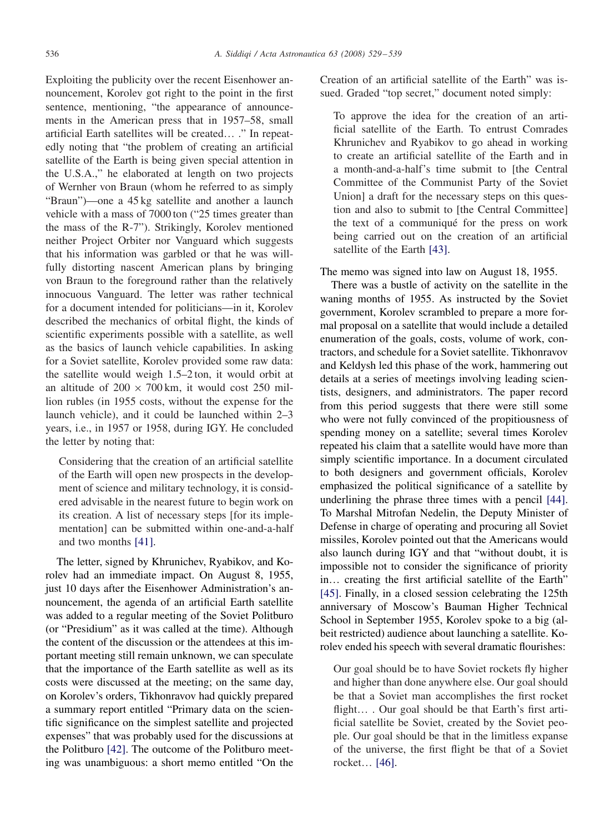Exploiting the publicity over the recent Eisenhower announcement, Korolev got right to the point in the first sentence, mentioning, "the appearance of announcements in the American press that in 1957–58, small artificial Earth satellites will be created… ." In repeatedly noting that "the problem of creating an artificial satellite of the Earth is being given special attention in the U.S.A.," he elaborated at length on two projects of Wernher von Braun (whom he referred to as simply "Braun")—one a 45 kg satellite and another a launch vehicle with a mass of 7000 ton ("25 times greater than the mass of the R-7"). Strikingly, Korolev mentioned neither Project Orbiter nor Vanguard which suggests that his information was garbled or that he was willfully distorting nascent American plans by bringing von Braun to the foreground rather than the relatively innocuous Vanguard. The letter was rather technical for a document intended for politicians—in it, Korolev described the mechanics of orbital flight, the kinds of scientific experiments possible with a satellite, as well as the basics of launch vehicle capabilities. In asking for a Soviet satellite, Korolev provided some raw data: the satellite would weigh 1.5–2 ton, it would orbit at an altitude of  $200 \times 700$  km, it would cost 250 million rubles (in 1955 costs, without the expense for the launch vehicle), and it could be launched within 2–3 years, i.e., in 1957 or 1958, during IGY. He concluded the letter by noting that:

Considering that the creation of an artificial satellite of the Earth will open new prospects in the development of science and military technology, it is considered advisable in the nearest future to begin work on its creation. A list of necessary steps [for its implementation] can be submitted within one-and-a-half and two months [\[41\].](#page-10-0)

The letter, signed by Khrunichev, Ryabikov, and Korolev had an immediate impact. On August 8, 1955, just 10 days after the Eisenhower Administration's announcement, the agenda of an artificial Earth satellite was added to a regular meeting of the Soviet Politburo (or "Presidium" as it was called at the time). Although the content of the discussion or the attendees at this important meeting still remain unknown, we can speculate that the importance of the Earth satellite as well as its costs were discussed at the meeting; on the same day, on Korolev's orders, Tikhonravov had quickly prepared a summary report entitled "Primary data on the scientific significance on the simplest satellite and projected expenses" that was probably used for the discussions at the Politburo [\[42\].](#page-10-0) The outcome of the Politburo meeting was unambiguous: a short memo entitled "On the Creation of an artificial satellite of the Earth" was issued. Graded "top secret," document noted simply:

To approve the idea for the creation of an artificial satellite of the Earth. To entrust Comrades Khrunichev and Ryabikov to go ahead in working to create an artificial satellite of the Earth and in a month-and-a-half's time submit to [the Central Committee of the Communist Party of the Soviet Union] a draft for the necessary steps on this question and also to submit to [the Central Committee] the text of a communiqué for the press on work being carried out on the creation of an artificial satellite of the Earth [\[43\].](#page-10-0)

The memo was signed into law on August 18, 1955.

There was a bustle of activity on the satellite in the waning months of 1955. As instructed by the Soviet government, Korolev scrambled to prepare a more formal proposal on a satellite that would include a detailed enumeration of the goals, costs, volume of work, contractors, and schedule for a Soviet satellite. Tikhonravov and Keldysh led this phase of the work, hammering out details at a series of meetings involving leading scientists, designers, and administrators. The paper record from this period suggests that there were still some who were not fully convinced of the propitiousness of spending money on a satellite; several times Korolev repeated his claim that a satellite would have more than simply scientific importance. In a document circulated to both designers and government officials, Korolev emphasized the political significance of a satellite by underlining the phrase three times with a pencil [\[44\].](#page-10-0) To Marshal Mitrofan Nedelin, the Deputy Minister of Defense in charge of operating and procuring all Soviet missiles, Korolev pointed out that the Americans would also launch during IGY and that "without doubt, it is impossible not to consider the significance of priority in… creating the first artificial satellite of the Earth" [\[45\].](#page-10-0) Finally, in a closed session celebrating the 125th anniversary of Moscow's Bauman Higher Technical School in September 1955, Korolev spoke to a big (albeit restricted) audience about launching a satellite. Korolev ended his speech with several dramatic flourishes:

Our goal should be to have Soviet rockets fly higher and higher than done anywhere else. Our goal should be that a Soviet man accomplishes the first rocket flight… . Our goal should be that Earth's first artificial satellite be Soviet, created by the Soviet people. Our goal should be that in the limitless expanse of the universe, the first flight be that of a Soviet rocket… [\[46\].](#page-10-0)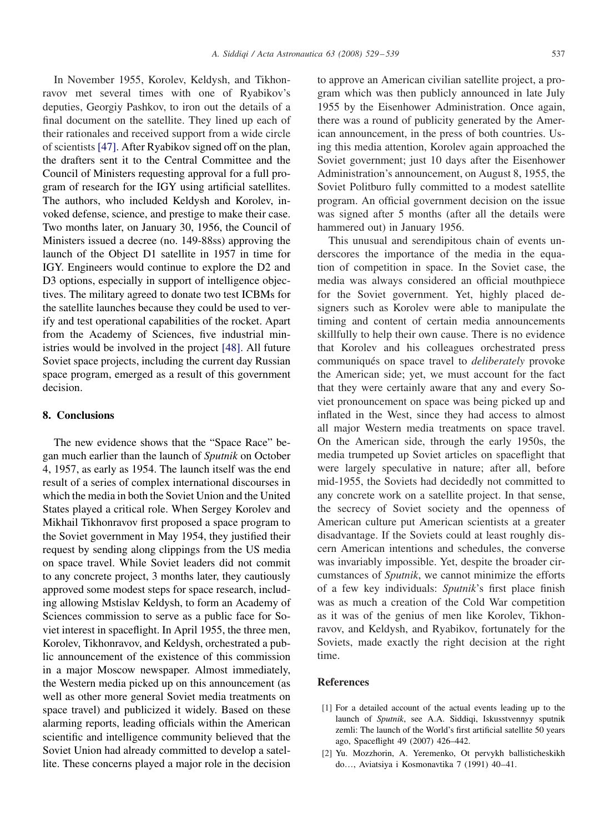<span id="page-8-0"></span>In November 1955, Korolev, Keldysh, and Tikhonravov met several times with one of Ryabikov's deputies, Georgiy Pashkov, to iron out the details of a final document on the satellite. They lined up each of their rationales and received support from a wide circle of scientists [\[47\].](#page-10-0) After Ryabikov signed off on the plan, the drafters sent it to the Central Committee and the Council of Ministers requesting approval for a full program of research for the IGY using artificial satellites. The authors, who included Keldysh and Korolev, invoked defense, science, and prestige to make their case. Two months later, on January 30, 1956, the Council of Ministers issued a decree (no. 149-88ss) approving the launch of the Object D1 satellite in 1957 in time for IGY. Engineers would continue to explore the D2 and D3 options, especially in support of intelligence objectives. The military agreed to donate two test ICBMs for the satellite launches because they could be used to verify and test operational capabilities of the rocket. Apart from the Academy of Sciences, five industrial ministries would be involved in the project [\[48\].](#page-10-0) All future Soviet space projects, including the current day Russian space program, emerged as a result of this government decision.

## **8. Conclusions**

The new evidence shows that the "Space Race" began much earlier than the launch of *Sputnik* on October 4, 1957, as early as 1954. The launch itself was the end result of a series of complex international discourses in which the media in both the Soviet Union and the United States played a critical role. When Sergey Korolev and Mikhail Tikhonravov first proposed a space program to the Soviet government in May 1954, they justified their request by sending along clippings from the US media on space travel. While Soviet leaders did not commit to any concrete project, 3 months later, they cautiously approved some modest steps for space research, including allowing Mstislav Keldysh, to form an Academy of Sciences commission to serve as a public face for Soviet interest in spaceflight. In April 1955, the three men, Korolev, Tikhonravov, and Keldysh, orchestrated a public announcement of the existence of this commission in a major Moscow newspaper. Almost immediately, the Western media picked up on this announcement (as well as other more general Soviet media treatments on space travel) and publicized it widely. Based on these alarming reports, leading officials within the American scientific and intelligence community believed that the Soviet Union had already committed to develop a satellite. These concerns played a major role in the decision to approve an American civilian satellite project, a program which was then publicly announced in late July 1955 by the Eisenhower Administration. Once again, there was a round of publicity generated by the American announcement, in the press of both countries. Using this media attention, Korolev again approached the Soviet government; just 10 days after the Eisenhower Administration's announcement, on August 8, 1955, the Soviet Politburo fully committed to a modest satellite program. An official government decision on the issue was signed after 5 months (after all the details were hammered out) in January 1956.

This unusual and serendipitous chain of events underscores the importance of the media in the equation of competition in space. In the Soviet case, the media was always considered an official mouthpiece for the Soviet government. Yet, highly placed designers such as Korolev were able to manipulate the timing and content of certain media announcements skillfully to help their own cause. There is no evidence that Korolev and his colleagues orchestrated press communiqués on space travel to *deliberately* provoke the American side; yet, we must account for the fact that they were certainly aware that any and every Soviet pronouncement on space was being picked up and inflated in the West, since they had access to almost all major Western media treatments on space travel. On the American side, through the early 1950s, the media trumpeted up Soviet articles on spaceflight that were largely speculative in nature; after all, before mid-1955, the Soviets had decidedly not committed to any concrete work on a satellite project. In that sense, the secrecy of Soviet society and the openness of American culture put American scientists at a greater disadvantage. If the Soviets could at least roughly discern American intentions and schedules, the converse was invariably impossible. Yet, despite the broader circumstances of *Sputnik*, we cannot minimize the efforts of a few key individuals: *Sputnik*'s first place finish was as much a creation of the Cold War competition as it was of the genius of men like Korolev, Tikhonravov, and Keldysh, and Ryabikov, fortunately for the Soviets, made exactly the right decision at the right time.

## **References**

- [1] For a detailed account of the actual events leading up to the launch of *Sputnik*, see A.A. Siddiqi, Iskusstvennyy sputnik zemli: The launch of the World's first artificial satellite 50 years ago, Spaceflight 49 (2007) 426–442.
- [2] Yu. Mozzhorin, A. Yeremenko, Ot pervykh ballisticheskikh do…, Aviatsiya i Kosmonavtika 7 (1991) 40–41.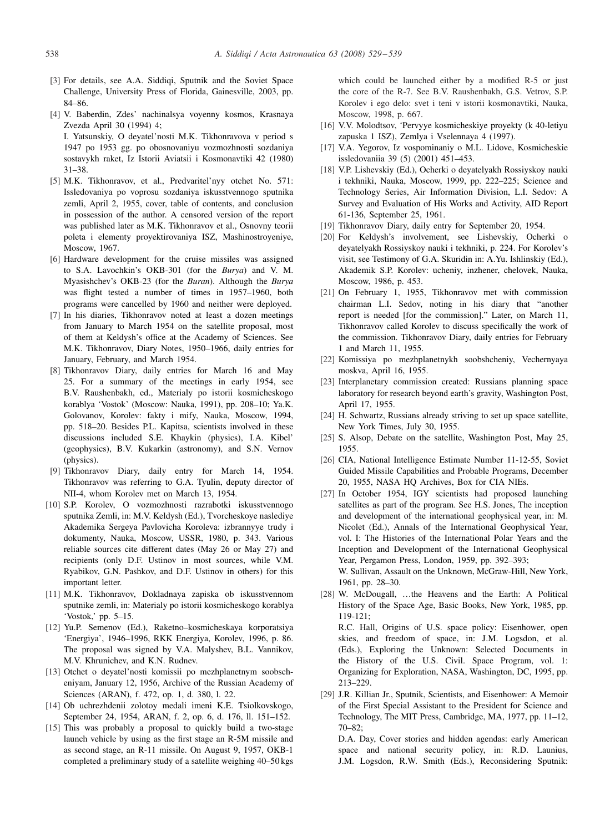- <span id="page-9-0"></span>[3] For details, see A.A. Siddiqi, Sputnik and the Soviet Space Challenge, University Press of Florida, Gainesville, 2003, pp. 84–86.
- [4] V. Baberdin, Zdes' nachinalsya voyenny kosmos, Krasnaya Zvezda April 30 (1994) 4;

I. Yatsunskiy, O deyatel'nosti M.K. Tikhonravova v period s 1947 po 1953 gg. po obosnovaniyu vozmozhnosti sozdaniya sostavykh raket, Iz Istorii Aviatsii i Kosmonavtiki 42 (1980) 31–38.

- [5] M.K. Tikhonravov, et al., Predvaritel'nyy otchet No. 571: Issledovaniya po voprosu sozdaniya iskusstvennogo sputnika zemli, April 2, 1955, cover, table of contents, and conclusion in possession of the author. A censored version of the report was published later as M.K. Tikhonravov et al., Osnovny teorii poleta i elementy proyektirovaniya ISZ, Mashinostroyeniye, Moscow, 1967.
- [6] Hardware development for the cruise missiles was assigned to S.A. Lavochkin's OKB-301 (for the *Burya*) and V. M. Myasishchev's OKB-23 (for the *Buran*). Although the *Burya* was flight tested a number of times in 1957–1960, both programs were cancelled by 1960 and neither were deployed.
- [7] In his diaries, Tikhonravov noted at least a dozen meetings from January to March 1954 on the satellite proposal, most of them at Keldysh's office at the Academy of Sciences. See M.K. Tikhonravov, Diary Notes, 1950–1966, daily entries for January, February, and March 1954.
- [8] Tikhonravov Diary, daily entries for March 16 and May 25. For a summary of the meetings in early 1954, see B.V. Raushenbakh, ed., Materialy po istorii kosmicheskogo korablya 'Vostok' (Moscow: Nauka, 1991), pp. 208–10; Ya.K. Golovanov, Korolev: fakty i mify, Nauka, Moscow, 1994, pp. 518–20. Besides P.L. Kapitsa, scientists involved in these discussions included S.E. Khaykin (physics), I.A. Kibel' (geophysics), B.V. Kukarkin (astronomy), and S.N. Vernov (physics).
- [9] Tikhonravov Diary, daily entry for March 14, 1954. Tikhonravov was referring to G.A. Tyulin, deputy director of NII-4, whom Korolev met on March 13, 1954.
- [10] S.P. Korolev, O vozmozhnosti razrabotki iskusstvennogo sputnika Zemli, in: M.V. Keldysh (Ed.), Tvorcheskoye naslediye Akademika Sergeya Pavlovicha Koroleva: izbrannyye trudy i dokumenty, Nauka, Moscow, USSR, 1980, p. 343. Various reliable sources cite different dates (May 26 or May 27) and recipients (only D.F. Ustinov in most sources, while V.M. Ryabikov, G.N. Pashkov, and D.F. Ustinov in others) for this important letter.
- [11] M.K. Tikhonravov, Dokladnaya zapiska ob iskusstvennom sputnike zemli, in: Materialy po istorii kosmicheskogo korablya 'Vostok,' pp. 5–15.
- [12] Yu.P. Semenov (Ed.), Raketno–kosmicheskaya korporatsiya 'Energiya', 1946–1996, RKK Energiya, Korolev, 1996, p. 86. The proposal was signed by V.A. Malyshev, B.L. Vannikov, M.V. Khrunichev, and K.N. Rudnev.
- [13] Otchet o deyatel'nosti komissii po mezhplanetnym soobscheniyam, January 12, 1956, Archive of the Russian Academy of Sciences (ARAN), f. 472, op. 1, d. 380, l. 22.
- [14] Ob uchrezhdenii zolotoy medali imeni K.E. Tsiolkovskogo, September 24, 1954, ARAN, f. 2, op. 6, d. 176, ll. 151–152.
- [15] This was probably a proposal to quickly build a two-stage launch vehicle by using as the first stage an R-5M missile and as second stage, an R-11 missile. On August 9, 1957, OKB-1 completed a preliminary study of a satellite weighing 40–50 kgs

which could be launched either by a modified R-5 or just the core of the R-7. See B.V. Raushenbakh, G.S. Vetrov, S.P. Korolev i ego delo: svet i teni v istorii kosmonavtiki, Nauka, Moscow, 1998, p. 667.

- [16] V.V. Molodtsov, 'Pervyye kosmicheskiye proyekty (k 40-letiyu zapuska 1 ISZ), Zemlya i Vselennaya 4 (1997).
- [17] V.A. Yegorov, Iz vospominaniy o M.L. Lidove, Kosmicheskie issledovaniia 39 (5) (2001) 451–453.
- [18] V.P. Lishevskiy (Ed.), Ocherki o deyatelyakh Rossiyskoy nauki i tekhniki, Nauka, Moscow, 1999, pp. 222–225; Science and Technology Series, Air Information Division, L.I. Sedov: A Survey and Evaluation of His Works and Activity, AID Report 61-136, September 25, 1961.
- [19] Tikhonravov Diary, daily entry for September 20, 1954.
- [20] For Keldysh's involvement, see Lishevskiy, Ocherki o deyatelyakh Rossiyskoy nauki i tekhniki, p. 224. For Korolev's visit, see Testimony of G.A. Skuridin in: A.Yu. Ishlinskiy (Ed.), Akademik S.P. Korolev: ucheniy, inzhener, chelovek, Nauka, Moscow, 1986, p. 453.
- [21] On February 1, 1955, Tikhonravov met with commission chairman L.I. Sedov, noting in his diary that "another report is needed [for the commission]." Later, on March 11, Tikhonravov called Korolev to discuss specifically the work of the commission. Tikhonravov Diary, daily entries for February 1 and March 11, 1955.
- [22] Komissiya po mezhplanetnykh soobshcheniy, Vechernyaya moskva, April 16, 1955.
- [23] Interplanetary commission created: Russians planning space laboratory for research beyond earth's gravity, Washington Post, April 17, 1955.
- [24] H. Schwartz, Russians already striving to set up space satellite, New York Times, July 30, 1955.
- [25] S. Alsop, Debate on the satellite, Washington Post, May 25, 1955.
- [26] CIA, National Intelligence Estimate Number 11-12-55, Soviet Guided Missile Capabilities and Probable Programs, December 20, 1955, NASA HQ Archives, Box for CIA NIEs.
- [27] In October 1954, IGY scientists had proposed launching satellites as part of the program. See H.S. Jones, The inception and development of the international geophysical year, in: M. Nicolet (Ed.), Annals of the International Geophysical Year, vol. I: The Histories of the International Polar Years and the Inception and Development of the International Geophysical Year, Pergamon Press, London, 1959, pp. 392–393; W. Sullivan, Assault on the Unknown, McGraw-Hill, New York,

1961, pp. 28–30.

[28] W. McDougall, …the Heavens and the Earth: A Political History of the Space Age, Basic Books, New York, 1985, pp. 119-121; R.C. Hall, Origins of U.S. space policy: Eisenhower, open

skies, and freedom of space, in: J.M. Logsdon, et al. (Eds.), Exploring the Unknown: Selected Documents in the History of the U.S. Civil. Space Program, vol. 1: Organizing for Exploration, NASA, Washington, DC, 1995, pp. 213–229.

[29] J.R. Killian Jr., Sputnik, Scientists, and Eisenhower: A Memoir of the First Special Assistant to the President for Science and Technology, The MIT Press, Cambridge, MA, 1977, pp. 11–12, 70–82;

D.A. Day, Cover stories and hidden agendas: early American space and national security policy, in: R.D. Launius, J.M. Logsdon, R.W. Smith (Eds.), Reconsidering Sputnik: